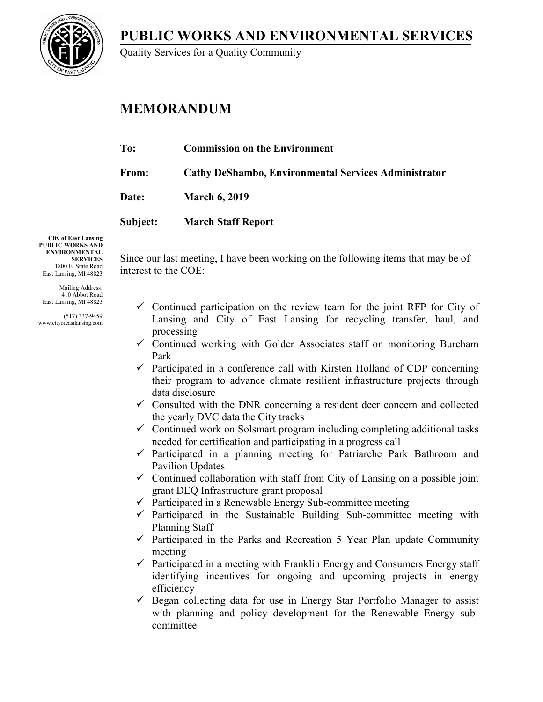**PUBLIC WORKS AND ENVIRONMENTAL SERVICES**



Quality Services for a Quality Community

# **MEMORANDUM**

| To:          | <b>Commission on the Environment</b>                        |
|--------------|-------------------------------------------------------------|
| From:        | <b>Cathy DeShambo, Environmental Services Administrator</b> |
| <b>Date:</b> | <b>March 6, 2019</b>                                        |
| Subject:     | <b>March Staff Report</b>                                   |
|              |                                                             |

**City of East Lansing PUBLIC WORKS AND ENVIRONMENTAL SERVICES** 1800 E. State Road East Lansing, MI 48823

Mailing Address: 410 Abbot Road East Lansing, MI 48823

(517) 337-9459 www.cityofeastlansing.com Since our last meeting, I have been working on the following items that may be of interest to the COE:

 $\_$  , and the set of the set of the set of the set of the set of the set of the set of the set of the set of the set of the set of the set of the set of the set of the set of the set of the set of the set of the set of th

- $\checkmark$  Continued participation on the review team for the joint RFP for City of Lansing and City of East Lansing for recycling transfer, haul, and processing
- $\checkmark$  Continued working with Golder Associates staff on monitoring Burcham Park
- $\checkmark$  Participated in a conference call with Kirsten Holland of CDP concerning their program to advance climate resilient infrastructure projects through data disclosure
- $\checkmark$  Consulted with the DNR concerning a resident deer concern and collected the yearly DVC data the City tracks
- $\checkmark$  Continued work on Solsmart program including completing additional tasks needed for certification and participating in a progress call
- $\checkmark$  Participated in a planning meeting for Patriarche Park Bathroom and Pavilion Updates
- $\checkmark$  Continued collaboration with staff from City of Lansing on a possible joint grant DEQ Infrastructure grant proposal
- $\checkmark$  Participated in a Renewable Energy Sub-committee meeting
- $\checkmark$  Participated in the Sustainable Building Sub-committee meeting with Planning Staff
- $\checkmark$  Participated in the Parks and Recreation 5 Year Plan update Community meeting
- $\checkmark$  Participated in a meeting with Franklin Energy and Consumers Energy staff identifying incentives for ongoing and upcoming projects in energy efficiency
- $\checkmark$  Began collecting data for use in Energy Star Portfolio Manager to assist with planning and policy development for the Renewable Energy subcommittee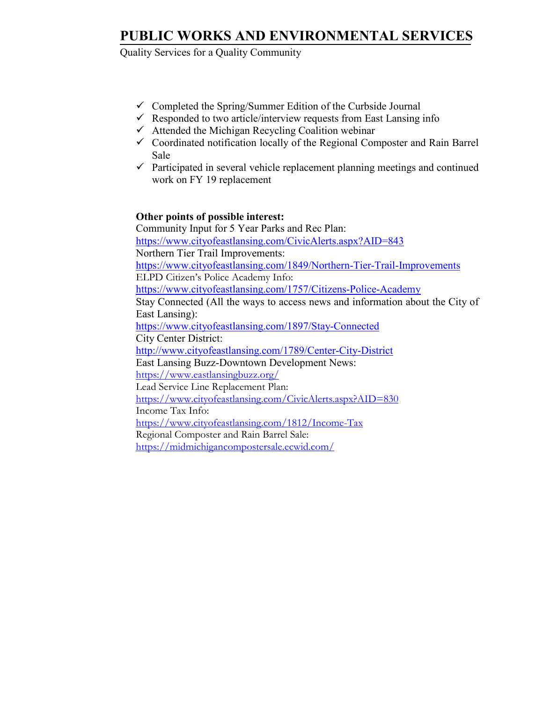## **PUBLIC WORKS AND ENVIRONMENTAL SERVICES**

Quality Services for a Quality Community

- $\checkmark$  Completed the Spring/Summer Edition of the Curbside Journal
- $\checkmark$  Responded to two article/interview requests from East Lansing info
- $\checkmark$  Attended the Michigan Recycling Coalition webinar
- $\checkmark$  Coordinated notification locally of the Regional Composter and Rain Barrel Sale
- $\checkmark$  Participated in several vehicle replacement planning meetings and continued work on FY 19 replacement

### **Other points of possible interest:**

Community Input for 5 Year Parks and Rec Plan: <https://www.cityofeastlansing.com/CivicAlerts.aspx?AID=843> Northern Tier Trail Improvements: <https://www.cityofeastlansing.com/1849/Northern-Tier-Trail-Improvements> ELPD Citizen's Police Academy Info: <https://www.cityofeastlansing.com/1757/Citizens-Police-Academy> Stay Connected (All the ways to access news and information about the City of East Lansing): <https://www.cityofeastlansing.com/1897/Stay-Connected> City Center District: <http://www.cityofeastlansing.com/1789/Center-City-District> East Lansing Buzz-Downtown Development News: <https://www.eastlansingbuzz.org/> Lead Service Line Replacement Plan: <https://www.cityofeastlansing.com/CivicAlerts.aspx?AID=830> Income Tax Info: <https://www.cityofeastlansing.com/1812/Income-Tax> Regional Composter and Rain Barrel Sale: <https://midmichigancompostersale.ecwid.com/>